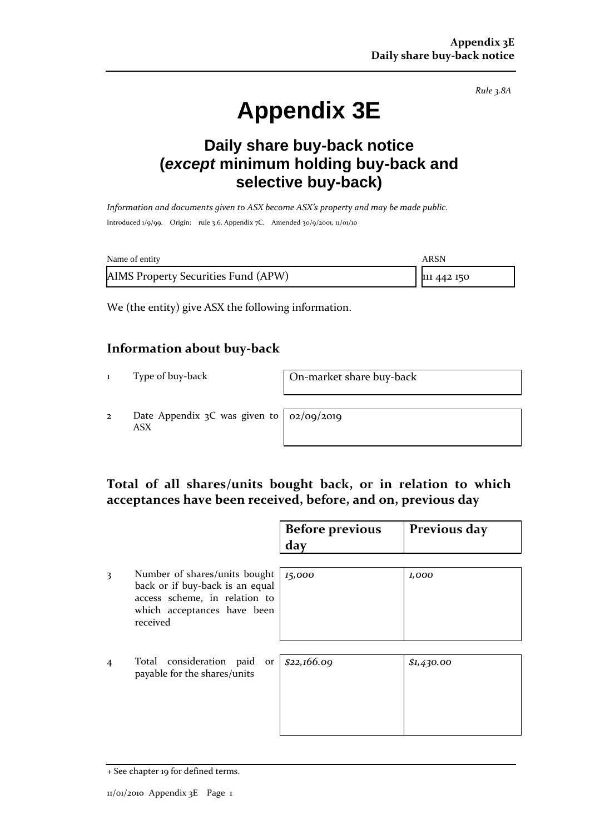*Rule 3.8A*

# **Appendix 3E**

### **Daily share buy-back notice (***except* **minimum holding buy-back and selective buy-back)**

*Information and documents given to ASX become ASX's property and may be made public.* Introduced 1/9/99. Origin: rule 3.6, Appendix 7C. Amended 30/9/2001, 11/01/10

| Name of entity                      | ARSN        |
|-------------------------------------|-------------|
| AIMS Property Securities Fund (APW) | 111 442 150 |

We (the entity) give ASX the following information.

#### **Information about buy-back**

1 Type of buy-back On-market share buy-back

2 Date Appendix 3C was given to ASX

02/09/2019

#### **Total of all shares/units bought back, or in relation to which acceptances have been received, before, and on, previous day**

|                |                                                                                                                                              | <b>Before previous</b><br>day | Previous day |
|----------------|----------------------------------------------------------------------------------------------------------------------------------------------|-------------------------------|--------------|
| 3              | Number of shares/units bought<br>back or if buy-back is an equal<br>access scheme, in relation to<br>which acceptances have been<br>received | 15,000                        | 1,000        |
| $\overline{4}$ | Total consideration paid or<br>payable for the shares/units                                                                                  | \$22,166.09                   | \$1,430.00   |

<sup>+</sup> See chapter 19 for defined terms.